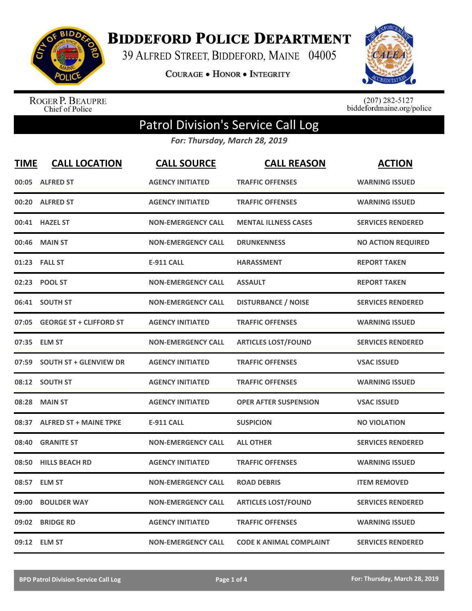

**BIDDEFORD POLICE DEPARTMENT** 

39 ALFRED STREET, BIDDEFORD, MAINE 04005

**COURAGE . HONOR . INTEGRITY** 



ROGER P. BEAUPRE<br>Chief of Police

 $(207)$  282-5127<br>biddefordmaine.org/police

## Patrol Division's Service Call Log

*For: Thursday, March 28, 2019*

| <b>TIME</b> | <b>CALL LOCATION</b>           | <b>CALL SOURCE</b>        | <b>CALL REASON</b>             | <b>ACTION</b>             |
|-------------|--------------------------------|---------------------------|--------------------------------|---------------------------|
|             | 00:05 ALFRED ST                | <b>AGENCY INITIATED</b>   | <b>TRAFFIC OFFENSES</b>        | <b>WARNING ISSUED</b>     |
|             | 00:20 ALFRED ST                | <b>AGENCY INITIATED</b>   | <b>TRAFFIC OFFENSES</b>        | <b>WARNING ISSUED</b>     |
|             | 00:41 HAZEL ST                 | <b>NON-EMERGENCY CALL</b> | <b>MENTAL ILLNESS CASES</b>    | <b>SERVICES RENDERED</b>  |
| 00:46       | <b>MAIN ST</b>                 | <b>NON-EMERGENCY CALL</b> | <b>DRUNKENNESS</b>             | <b>NO ACTION REQUIRED</b> |
|             | 01:23 FALL ST                  | <b>E-911 CALL</b>         | <b>HARASSMENT</b>              | <b>REPORT TAKEN</b>       |
|             | 02:23 POOL ST                  | <b>NON-EMERGENCY CALL</b> | <b>ASSAULT</b>                 | <b>REPORT TAKEN</b>       |
|             | 06:41 SOUTH ST                 | <b>NON-EMERGENCY CALL</b> | <b>DISTURBANCE / NOISE</b>     | <b>SERVICES RENDERED</b>  |
| 07:05       | <b>GEORGE ST + CLIFFORD ST</b> | <b>AGENCY INITIATED</b>   | <b>TRAFFIC OFFENSES</b>        | <b>WARNING ISSUED</b>     |
|             | 07:35 ELM ST                   | <b>NON-EMERGENCY CALL</b> | <b>ARTICLES LOST/FOUND</b>     | <b>SERVICES RENDERED</b>  |
| 07:59       | <b>SOUTH ST + GLENVIEW DR</b>  | <b>AGENCY INITIATED</b>   | <b>TRAFFIC OFFENSES</b>        | <b>VSAC ISSUED</b>        |
|             | 08:12 SOUTH ST                 | <b>AGENCY INITIATED</b>   | <b>TRAFFIC OFFENSES</b>        | <b>WARNING ISSUED</b>     |
| 08:28       | <b>MAIN ST</b>                 | <b>AGENCY INITIATED</b>   | <b>OPER AFTER SUSPENSION</b>   | <b>VSAC ISSUED</b>        |
| 08:37       | <b>ALFRED ST + MAINE TPKE</b>  | <b>E-911 CALL</b>         | <b>SUSPICION</b>               | <b>NO VIOLATION</b>       |
| 08:40       | <b>GRANITE ST</b>              | <b>NON-EMERGENCY CALL</b> | <b>ALL OTHER</b>               | <b>SERVICES RENDERED</b>  |
| 08:50       | <b>HILLS BEACH RD</b>          | <b>AGENCY INITIATED</b>   | <b>TRAFFIC OFFENSES</b>        | <b>WARNING ISSUED</b>     |
| 08:57       | <b>ELM ST</b>                  | <b>NON-EMERGENCY CALL</b> | <b>ROAD DEBRIS</b>             | <b>ITEM REMOVED</b>       |
| 09:00       | <b>BOULDER WAY</b>             | <b>NON-EMERGENCY CALL</b> | <b>ARTICLES LOST/FOUND</b>     | <b>SERVICES RENDERED</b>  |
| 09:02       | <b>BRIDGE RD</b>               | <b>AGENCY INITIATED</b>   | <b>TRAFFIC OFFENSES</b>        | <b>WARNING ISSUED</b>     |
|             | 09:12 ELM ST                   | <b>NON-EMERGENCY CALL</b> | <b>CODE K ANIMAL COMPLAINT</b> | <b>SERVICES RENDERED</b>  |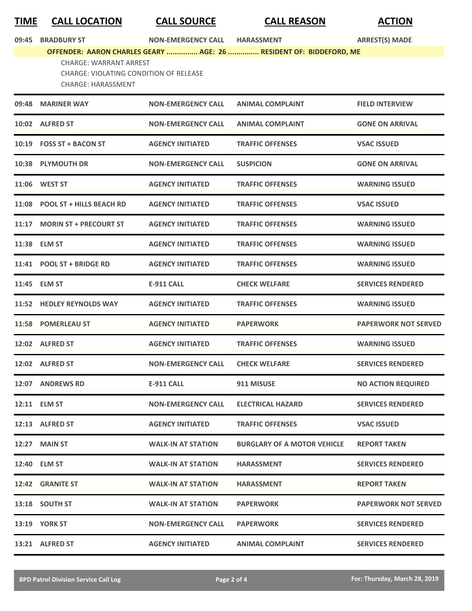| <u>TIME</u> | <b>CALL LOCATION</b>                                                                                        | <b>CALL SOURCE</b>               | <b>CALL REASON</b>                                                 | <b>ACTION</b>               |
|-------------|-------------------------------------------------------------------------------------------------------------|----------------------------------|--------------------------------------------------------------------|-----------------------------|
| 09:45       | <b>BRADBURY ST</b>                                                                                          | NON-EMERGENCY CALL HARASSMENT    |                                                                    | <b>ARREST(S) MADE</b>       |
|             | <b>CHARGE: WARRANT ARREST</b><br><b>CHARGE: VIOLATING CONDITION OF RELEASE</b><br><b>CHARGE: HARASSMENT</b> |                                  | OFFENDER: AARON CHARLES GEARY  AGE: 26  RESIDENT OF: BIDDEFORD, ME |                             |
|             | 09:48 MARINER WAY                                                                                           | <b>NON-EMERGENCY CALL</b>        | <b>ANIMAL COMPLAINT</b>                                            | <b>FIELD INTERVIEW</b>      |
|             | 10:02 ALFRED ST                                                                                             | <b>NON-EMERGENCY CALL</b>        | <b>ANIMAL COMPLAINT</b>                                            | <b>GONE ON ARRIVAL</b>      |
|             | 10:19 FOSS ST + BACON ST                                                                                    | <b>AGENCY INITIATED</b>          | <b>TRAFFIC OFFENSES</b>                                            | <b>VSAC ISSUED</b>          |
|             | 10:38 PLYMOUTH DR                                                                                           | <b>NON-EMERGENCY CALL</b>        | <b>SUSPICION</b>                                                   | <b>GONE ON ARRIVAL</b>      |
|             | 11:06 WEST ST                                                                                               | <b>AGENCY INITIATED</b>          | <b>TRAFFIC OFFENSES</b>                                            | <b>WARNING ISSUED</b>       |
|             | 11:08 POOL ST + HILLS BEACH RD                                                                              | <b>AGENCY INITIATED</b>          | <b>TRAFFIC OFFENSES</b>                                            | <b>VSAC ISSUED</b>          |
|             | 11:17 MORIN ST + PRECOURT ST                                                                                | <b>AGENCY INITIATED</b>          | <b>TRAFFIC OFFENSES</b>                                            | <b>WARNING ISSUED</b>       |
|             | 11:38 ELM ST                                                                                                | <b>AGENCY INITIATED</b>          | <b>TRAFFIC OFFENSES</b>                                            | <b>WARNING ISSUED</b>       |
|             | 11:41 POOL ST + BRIDGE RD                                                                                   | <b>AGENCY INITIATED</b>          | <b>TRAFFIC OFFENSES</b>                                            | <b>WARNING ISSUED</b>       |
|             | 11:45 ELM ST                                                                                                | <b>E-911 CALL</b>                | <b>CHECK WELFARE</b>                                               | <b>SERVICES RENDERED</b>    |
|             | 11:52 HEDLEY REYNOLDS WAY                                                                                   | <b>AGENCY INITIATED</b>          | <b>TRAFFIC OFFENSES</b>                                            | <b>WARNING ISSUED</b>       |
|             | 11:58 POMERLEAU ST                                                                                          | <b>AGENCY INITIATED</b>          | <b>PAPERWORK</b>                                                   | <b>PAPERWORK NOT SERVED</b> |
|             | 12:02 ALFRED ST                                                                                             | <b>AGENCY INITIATED</b>          | <b>TRAFFIC OFFENSES</b>                                            | <b>WARNING ISSUED</b>       |
|             | 12:02 ALFRED ST                                                                                             | NON-EMERGENCY CALL CHECK WELFARE |                                                                    | <b>SERVICES RENDERED</b>    |
|             | 12:07 ANDREWS RD                                                                                            | E-911 CALL                       | 911 MISUSE                                                         | <b>NO ACTION REQUIRED</b>   |
|             | 12:11 ELM ST                                                                                                | <b>NON-EMERGENCY CALL</b>        | <b>ELECTRICAL HAZARD</b>                                           | <b>SERVICES RENDERED</b>    |
|             | 12:13 ALFRED ST                                                                                             | <b>AGENCY INITIATED</b>          | <b>TRAFFIC OFFENSES</b>                                            | <b>VSAC ISSUED</b>          |
|             | 12:27 MAIN ST                                                                                               | <b>WALK-IN AT STATION</b>        | <b>BURGLARY OF A MOTOR VEHICLE</b>                                 | <b>REPORT TAKEN</b>         |
|             | 12:40 ELM ST                                                                                                | <b>WALK-IN AT STATION</b>        | <b>HARASSMENT</b>                                                  | <b>SERVICES RENDERED</b>    |
|             | 12:42 GRANITE ST                                                                                            | <b>WALK-IN AT STATION</b>        | <b>HARASSMENT</b>                                                  | <b>REPORT TAKEN</b>         |
|             | 13:18 SOUTH ST                                                                                              | <b>WALK-IN AT STATION</b>        | <b>PAPERWORK</b>                                                   | <b>PAPERWORK NOT SERVED</b> |
|             | <b>13:19 YORK ST</b>                                                                                        | <b>NON-EMERGENCY CALL</b>        | <b>PAPERWORK</b>                                                   | <b>SERVICES RENDERED</b>    |
|             | 13:21 ALFRED ST                                                                                             | <b>AGENCY INITIATED</b>          | <b>ANIMAL COMPLAINT</b>                                            | <b>SERVICES RENDERED</b>    |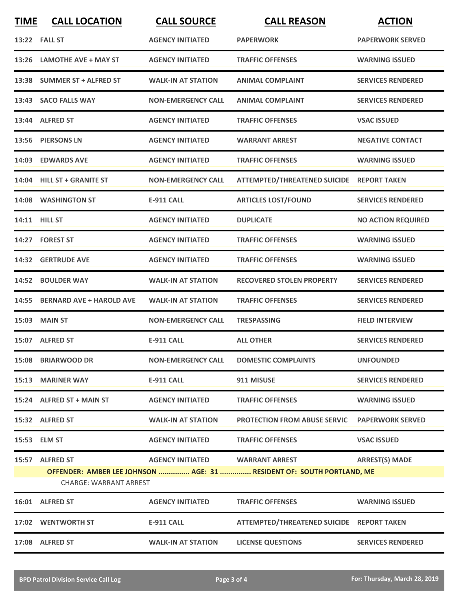| <b>TIME</b> | <b>CALL LOCATION</b>                             | <b>CALL SOURCE</b>              | <b>CALL REASON</b>                                                    | <b>ACTION</b>             |
|-------------|--------------------------------------------------|---------------------------------|-----------------------------------------------------------------------|---------------------------|
|             | 13:22    FALL ST                                 | <b>AGENCY INITIATED</b>         | <b>PAPERWORK</b>                                                      | <b>PAPERWORK SERVED</b>   |
|             | 13:26 LAMOTHE AVE + MAY ST                       | <b>AGENCY INITIATED</b>         | <b>TRAFFIC OFFENSES</b>                                               | <b>WARNING ISSUED</b>     |
|             | 13:38 SUMMER ST + ALFRED ST                      | <b>WALK-IN AT STATION</b>       | <b>ANIMAL COMPLAINT</b>                                               | <b>SERVICES RENDERED</b>  |
|             | 13:43 SACO FALLS WAY                             | <b>NON-EMERGENCY CALL</b>       | <b>ANIMAL COMPLAINT</b>                                               | <b>SERVICES RENDERED</b>  |
|             | 13:44 ALFRED ST                                  | <b>AGENCY INITIATED</b>         | <b>TRAFFIC OFFENSES</b>                                               | <b>VSAC ISSUED</b>        |
|             | 13:56 PIERSONS LN                                | <b>AGENCY INITIATED</b>         | <b>WARRANT ARREST</b>                                                 | <b>NEGATIVE CONTACT</b>   |
|             | 14:03 EDWARDS AVE                                | <b>AGENCY INITIATED</b>         | <b>TRAFFIC OFFENSES</b>                                               | <b>WARNING ISSUED</b>     |
|             | 14:04 HILL ST + GRANITE ST                       | <b>NON-EMERGENCY CALL</b>       | ATTEMPTED/THREATENED SUICIDE REPORT TAKEN                             |                           |
|             | 14:08 WASHINGTON ST                              | <b>E-911 CALL</b>               | <b>ARTICLES LOST/FOUND</b>                                            | <b>SERVICES RENDERED</b>  |
|             | 14:11 HILL ST                                    | <b>AGENCY INITIATED</b>         | <b>DUPLICATE</b>                                                      | <b>NO ACTION REQUIRED</b> |
|             | 14:27 FOREST ST                                  | <b>AGENCY INITIATED</b>         | <b>TRAFFIC OFFENSES</b>                                               | <b>WARNING ISSUED</b>     |
|             | 14:32 GERTRUDE AVE                               | <b>AGENCY INITIATED</b>         | <b>TRAFFIC OFFENSES</b>                                               | <b>WARNING ISSUED</b>     |
|             | 14:52 BOULDER WAY                                | <b>WALK-IN AT STATION</b>       | <b>RECOVERED STOLEN PROPERTY</b>                                      | <b>SERVICES RENDERED</b>  |
|             | 14:55 BERNARD AVE + HAROLD AVE                   | <b>WALK-IN AT STATION</b>       | <b>TRAFFIC OFFENSES</b>                                               | <b>SERVICES RENDERED</b>  |
|             | <b>15:03 MAIN ST</b>                             | <b>NON-EMERGENCY CALL</b>       | <b>TRESPASSING</b>                                                    | <b>FIELD INTERVIEW</b>    |
|             | 15:07 ALFRED ST                                  | <b>E-911 CALL</b>               | <b>ALL OTHER</b>                                                      | <b>SERVICES RENDERED</b>  |
|             | 15:08 BRIARWOOD DR                               |                                 | NON-EMERGENCY CALL DOMESTIC COMPLAINTS                                | <b>UNFOUNDED</b>          |
|             | <b>15:13 MARINER WAY</b>                         | <b>E-911 CALL</b>               | 911 MISUSE                                                            | <b>SERVICES RENDERED</b>  |
|             | 15:24 ALFRED ST + MAIN ST                        | <b>AGENCY INITIATED</b>         | <b>TRAFFIC OFFENSES</b>                                               | <b>WARNING ISSUED</b>     |
|             | 15:32 ALFRED ST                                  | <b>WALK-IN AT STATION</b>       | <b>PROTECTION FROM ABUSE SERVIC</b>                                   | <b>PAPERWORK SERVED</b>   |
|             | 15:53 ELM ST                                     | <b>AGENCY INITIATED</b>         | <b>TRAFFIC OFFENSES</b>                                               | <b>VSAC ISSUED</b>        |
|             | 15:57 ALFRED ST<br><b>CHARGE: WARRANT ARREST</b> | AGENCY INITIATED WARRANT ARREST | OFFENDER: AMBER LEE JOHNSON  AGE: 31  RESIDENT OF: SOUTH PORTLAND, ME | <b>ARREST(S) MADE</b>     |
|             | 16:01 ALFRED ST                                  | <b>AGENCY INITIATED</b>         | <b>TRAFFIC OFFENSES</b>                                               | <b>WARNING ISSUED</b>     |
|             | 17:02 WENTWORTH ST                               | <b>E-911 CALL</b>               | ATTEMPTED/THREATENED SUICIDE REPORT TAKEN                             |                           |
|             | 17:08 ALFRED ST                                  | <b>WALK-IN AT STATION</b>       | <b>LICENSE QUESTIONS</b>                                              | <b>SERVICES RENDERED</b>  |